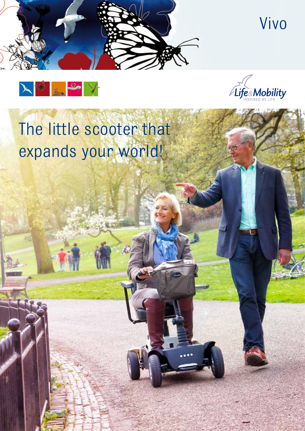







# The little scooter that expands your world!